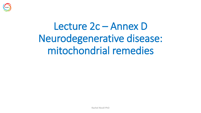

# Lecture 2c – Annex D Neurodegenerative disease: mitochondrial remedies

Rachel Nicoll PhD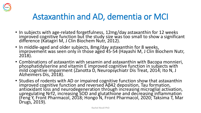

## Astaxanthin and AD, dementia or MCI

- In subjects with age-related forgetfulness, 12mg/day astaxanthin for 12 weeks improved cognitive function but the study size was too small to show a significant difference (Katagiri M, J Clin Biochem Nutr, 2012).
- In middle-aged and older subjects, 8mg/day astaxanthin for 8 weeks, improvement was seen only in those aged 45-54 (Hayashi M, J Clin Biochem Nutr, 2018).
- Combinations of astaxantin with sesamin and astaxanthin with Bacopa monnieri, phosphatidylserine and vitamin E improved cognitive function in subjects with mild cognitive impairment (Zanotta D, Neuropsychiatr Dis Treat, 2014; Ito N, J Alzheimers Dis, 2018).
- Studies of rodents with AD or impaired cognitive function show that astaxanthin improved cognitive function and reversed Aβ42 deposition, Tau formation, antioxidant loss and neurodegeneration through increasing microglial activation, upregulating Nrf2, increasing SOD and glutathione and decreasing inflammation (Feng Y, Front Pharmacol, 2018; Hongo N, Front Pharmacol, 2020; Taksima T, Mar Drugs, 2019).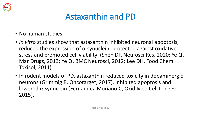

#### Astaxanthin and PD

- No human studies.
- *In vitro* studies show that astaxanthin inhibited neuronal apoptosis, reduced the expression of  $\alpha$ -synuclein, protected against oxidative stress and promoted cell viability (Shen DF, Neurosci Res, 2020; Ye Q, Mar Drugs, 2013; Ye Q, BMC Neurosci, 2012; Lee DH, Food Chem Toxicol, 2011).
- In rodent models of PD, astaxanthin reduced toxicity in dopaminergic neurons (Grimmig B, Oncotarget, 2017), inhibited apoptosis and lowered α-synuclein (Fernandez-Moriano C, Oxid Med Cell Longev, 2015).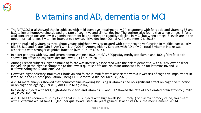

## B vitamins and AD, dementia or MCI

- The VITACOG trial showed that in subjects with mild cognitive impairment (MCI), treatment with folic acid and vitamins B6 and B12 to lower homocysteine slowed the rate of cognitive and clinical decline. The authors also found that when omega-3 fatty acid concentrations are low, B vitamin treatment has no effect on cognitive decline in MCI, but when omega-3 levels are in the upper normal range, B vitamins interact to slow cognitive decline. (Oulhaj A, J Alzheimers Dis, 2016)
- Higher intake of B vitamins throughout young adulthood was associated with better cognitive function in midlife, particularly B3, B6, B12 and folate (Qin B, Am J Clin Nutr, 2017). Among elderly Koreans with AD or MCI, total B vitamin intake was associated with stronger cognitive function (Kim H, Nutr J, 2014).
- In older patients with MCI and serum homocysteine ≥10.0 μmol/L, 500μg/day methylcobalamin and 400μg/day folic acid showed no effect on cognitive decline (Kwok T, Clin Nutr, 2019).
- Among French subjects, higher intake of folate was inversely associated with the risk of dementia, with a 50% lower risk for individuals in the highest compared to the lowest quintile of folate. No association was found for vitamins B6 and B12 (Lefèvre-Arbogast S, Nutrients, 2016).
- However, higher dietary intakes of riboflavin and folate in midlife were associated with a lower risk of cognitive impairment in later life in the Chinese population (Sheng LT, J Gerontol A Biol Sci Med Sci, 2020).
- A 2014 meta-analysis showed that homocysteine-lowering by using B vitamins had no significant effect on cognitive function or on cognitive ageing (Clarke R, Am J Clin Nutr, 2014).
- In elderly subjects with MCI, high-dose folic acid and vitamins B6 and B12 slowed the rate of accelerated brain atrophy (Smith AD, PLoS One, 2010).
- A 2016 health economics study found that in UK subjects with high levels (>13 μmol/L) of plasma homocysteine, treatment with B vitamins would save £60,021 per quality-adjusted life years gained (Tsiachristas´A, Alzheimers Dement, 2016).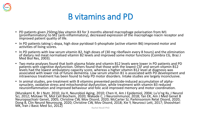

#### B vitamins and PD

- PD patients given 250mg/day vitamin B3 for 3 months altered macrophage polarisation from M1 (proinflammatory) to M2 (anti-inflammatory), decreased expression of the macrophage niacin receptor and improved patient quality of life.
- In PD patients taking L-dopa, high dose pyridoxal-5-phosphate (active vitamin B6) improved motor and activities of living scores.
- In PD patients with low serum vitamin B2, high doses of (30 mg riboflavin every 8 hours) and the elimination of dietary red meat normalised vitamin B2 levels and improved some motor functions (Coimbra CG, Braz J Med Biol Res, 2003).
- Two meta-analyses found that both plasma folate and vitamin B12 levels were lower in PD patients and PD patients with cognitive dysfunction. Others found that those with the lowest CSF and serum vitamin B12 levels had the lowest ambulatory capacity score, whereas a higher vitamin B12 level at diagnosis was associated with lower risk of future dementia. Low serum vitamin B1 is associated with PD development and intravenous treatment has been found to help PD motor disorders. Intake studies are largely inconclusive.
- In animal studies, pre-treatment with B vitamins prevented pesticide-induced accumulation of alphasynuclein, oxidative stress and mitochondrial dysfunction, while treatment with vitamin B3 reduced neuroinflammation and improved behaviour and folic acid improved memory and motor coordination.

(Murakami K, Br J Nutr, 2010; Jia H, Neurobiol Aging, 2010; Chen H, Am J Epidemiol, 2004; Lu'o'ng Kv, J Neurol Sci, 2012; Motawi TK, Mol Cell Biochem, 2020; Wakade C, J Neuroimmunol, 2018; Tan EK, Am J Med Genet B Neuropsychiatr Genet, 2005; Christine CW, Mov Disord, 2020; McCarter SJ, Parkinsonism Relat Disord, 2020; Dong B, Clin Neurol Neurosurg, 2020; Christine CW, Mov Disord, 2018; Xie Y, Neurosci Lett, 2017; Shooshtari MK, Iran J Basic Med Sci, 2012) Rachel Nicoll PhD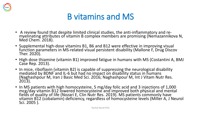

#### B vitamins and MS

- A review found that despite limited clinical studies, the anti-inflammatory and remyelinating attributes of vitamin B complex members are promising (Nemazannikova N, Med Chem. 2018).
- Supplemental high-dose vitamins B1, B6 and B12 were effective in improving visual function parameters in MS-related visual persistent disability (Mallone F, Drug Discov Ther. 2020).
- High dose thiamine (vitamin B1) improved fatigue in humans with MS (Costantini A, BMJ Case Rep. 2013).
- In mice, riboflavin (vitamin B2) is capable of suppressing the neurological disability mediated by BDNF and IL-6 but had no impact on disability status in humans (Naghashpour M, Iran J Basic Med Sci. 2016; Naghashpour M, Int J Vitam Nutr Res. 2013).
- In MS patients with high homocysteine, 5 mg/day folic acid and 3 injections of 1,000 mcg/day vitamin B12 lowered homocysteine and improved both physical and mental fields of quality of life (Nozari E, Clin Nutr Res. 2019). MS patients commonly have vitamin B12 (cobalamin) deficiency, regardless of homocysteine levels (Miller A, J Neurol Sci. 2005 ).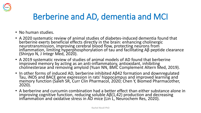

## Berberine and AD, dementia and MCI

- No human studies.
- A 2020 systematic review of animal studies of diabetes-induced dementia found that berberine exerts beneficial effects directly in the brain: enhancing cholinergic neurotransmission, improving cerebral blood flow, protecting neurons from inflammation, limiting hyperphosphorylation of tau and facilitating Aβ peptide clearance (Shinjyo N, J Integr Med, 2020).
- A 2019 systematic review of studies of animal models of AD found that berberine improved memory by acting as an anti-inflammatory, antioxidant, inhibiting cholinesterase and removing amyloid (Yuan NN, BMC Complement Altern Med, 2019).
- In other forms of induced AD, berberine inhibited Aβ42 formation and downregulated Tau, iNOS and BACE gene expression in rats' hippocampus and improved learning and memory function (Saleh SR, Curr Clin Pharmacol, 2020; Chen Y, Biomed Pharmacother, 2020).
- A berberine and curcumin combination had a better effect than either substance alone in improving cognitive function, reducing soluble Aβ(1,42) production and decreasing inflammation and oxidative stress in AD mice (Lin L, Neurochem Res, 2020).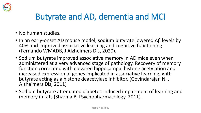

#### Butyrate and AD, dementia and MCI

- No human studies.
- In an early-onset AD mouse model, sodium butyrate lowered Aβ levels by 40% and improved associative learning and cognitive functioning (Fernando WMADB, J Alzheimers Dis, 2020).
- Sodium butyrate improved associative memory in AD mice even when administered at a very advanced stage of pathology. Recovery of memory function correlated with elevated hippocampal histone acetylation and increased expression of genes implicated in associative learning, with butyrate acting as a histone deacetylase inhibitor. (Govindarajan N, J Alzheimers Dis, 2011)
- Sodium butyrate attenuated diabetes-induced impairment of learning and memory in rats (Sharma B, Psychopharmacology, 2011).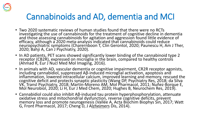

### Cannabinoids and AD, dementia and MCI

- Two 2020 systematic reviews of human studies found that there were no RCTs investigating the use of cannabinoids for the treatment of cognitive decline in dementia and those assessing cannabinoids for agitation and aggression found little evidence of efficacy, although a 2020 meta-analysis indicated that cannabinoids could reduce neuropsychiatric symptoms (Charernboon T, Clin Gerontol, 2020; Paunescu H, Am J Ther, 2020; Bahji A, Can J Psychiatry, 2020).
- In AD patients, PET scans showed significantly lower binding of the cannabinoid type 2 receptor (CB2R), expressed on microglia in the brain, compared to healthy controls (Ahmad R, Eur J Nucl Med Mol Imaging, 2016).
- In animals with AD, vascular dementia or cognitive impairment, CR2R receptor agonists, including cannabidiol, suppressed Aβ-induced microglial activation, apoptosis and inflammation, lowered intracellular calcium, improved learning and memory, rescued the cognitive deficit and protects synaptic plasticity (Wang DP, Psychiatry Res, 2018; da Silva VK, Transl Psychiatry, 2018; Martín-Moreno AM, Mol Pharmacol, 2011; Nuñez-Borque E, Mol Neurobiol, 2020; Li H, Eur J Med Chem, 2020; Hughes B, Neurochem Res, 2019).
- Cannabidiol could also inhibit Aβ-induced tau protein hyperphosphorylation, attenuate oxidative stress and mitochondrial dysfunction, reverse cognitive deficits, prevent memory loss and promote neurogenesis (Vallée A, Acta Biochim Biophys Sin, 2017; Watt G, Front Pharmacol, 2017; Cheng D, J Alzheimers Dis, 2014).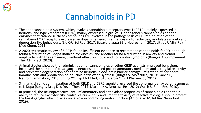



- The endocannabinoid system, which involves cannabinoid receptors type 1 (CB1R), mainly expressed in neurons, and type 2receptors (CB2R), mainly expressed in glial cells, endogenous cannabinoids and the enzymes that catabolise these compounds are involved in the pathogenesis of PD. Yet, deletion of the cannabinoid CB2 receptors expressed in dopamine neurons enhances motor activities, modulates anxiety and depression-like behaviours. (Liu QR, Sci Rep, 2017; Basavarajappa BS, J Neurochem, 2017; Little JP, Mini Rev Med Chem, 2011).
- A 2020 systematic review of 5 RCTs found insufficient evidence to recommend cannabinoids for PD, although 1 found a reduction of l-dopa-induced dyskinesias, and another found a reduction in anxiety and tremor amplitude, with the remaining 3 without effect on motor and non-motor symptoms (Bougea A, Complement Ther Clin Pract, 2020).
- Animal studies showed that administration of cannabinoids or other CB2R agonists improved behaviour, increased the number of basal ganglia neurons, reduced pro-inflammatory mediators and astroglial reactivity and prevented degeneration of dopamine neurons, blood-brain barrier damage, infiltration of peripheral immune cells and production of inducible nitric oxide synthase (Burgaz S, Molecules, 2019; Garcia C, J Neuroinflammation, 2018; Chung YC, Exp Mol Med, 2016; Garcia C, Br J Pharmacol, 2011).
- Similarly, chronic administration of both CB1R and CBR2 agonists reversed the abnormal behavioural responses to L-Dopa (Song L, Drug Des Devel Ther, 2014; Martinez A, Neurosci Res, 2012; Walsh S, Brain Res, 2010).
- In principal, the neuroprotective, anti-inflammatory and antioxidant properties of cannabinoids and their ability to reduce excitotoxicity, control calcium influx and limit the toxicity of reactive microglia should protect the basal ganglia, which play a crucial role in controlling motor function (Antonazzo M, Int Rev Neurobiol, 2019).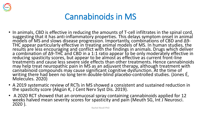

#### Cannabinoids in MS

- In animals, CBD is effective in reducing the amounts of T-cell infiltrates in the spinal cord, suggesting that it has anti-inflammatory properties. This delays symptom onset in animal models of MS and slows disease progression. Importantly, combinations of CBD and Δ9- THC appear particularly effective in treating animal models of MS. In human studies, the results are less encouraging and conflict with the findings in animals. Drugs which deliver a combination of Δ9-THC and CBD in a 1:1 ratio appear to be only moderately effective in reducing spasticity scores, but appear to be almost as effective as current front-line treatments and cause less severe side effects than other treatments. Hence cannabinoids may help treat neuropathic pain in MS as an adjuvant therapy, although treatment with cannabinoid compounds may cause significant cognitive dysfunction. At the time of writing there had been no long term double-blind placebo-controlled studies. (Jones É, Molecules. 2020)
- A 2019 systematic review of RCTs in MS showed a consistent and sustained reduction in the spasticity score (Akgün K, J Cent Nerv Syst Dis. 2019).
- A 2020 RCT showed that an oromucosal spray containing cannabinoids applied for 12 weeks halved mean severity scores for spasticity and pain (Meuth SG, Int J Neurosci. 2020 ).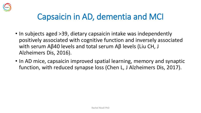

### Capsaicin in AD, dementia and MCI

- In subjects aged > 39, dietary capsaicin intake was independently positively associated with cognitive function and inversely associated with serum Aβ40 levels and total serum Aβ levels (Liu CH, J Alzheimers Dis, 2016).
- In AD mice, capsaicin improved spatial learning, memory and synaptic function, with reduced synapse loss (Chen L, J Alzheimers Dis, 2017).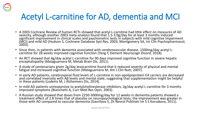

## Acetyl L-carnitine for AD, dementia and MCI

- A 2003 Cochrane Review of human RCTs showed that acetyl L-carnitine had little effect on measures of AD severity, although another 2003 meta-analysis found that 1.5-3.0g/day for at least 3 months induced significant improvement in clinical scales and psychometric tests in subjects with mild cognitive impairment (MCI) and mild AD (Hudson S, Cochrane Database Syst Rev, 2003; Montgomery SA, Int Clin Psychopharmacol, 2003).
- Since then, in patients with dementia associated with cerebrovascular disease, 1500mg/day acetyl Lcarnitine for 28 weeks improved cognitive function (Yang Y, Dement Neurocogn Disord, 2018).
- An RCT showed that 4g/day acetyl L-carnitine for 90 days improved cognitive function in severe hepatic encephalopathy (Malaguarnera M, Metab Brain Dis, 2011).
- A study of centenarians given 2g/day levocarnitine found that it reduced severity of physical and mental fatigue and increased cognitive function (Malaguarnera M, Am J Clin Nutr, 2007).
- In early AD patients, cerebrospinal fluid levels of L-carnitine in non-apolipoprotein E4 carriers are decreased and correlated inversely with Aβ levels and mental state, suggesting that supplementation might be helpful in these patients (Lodeiro M, J Alzheimers Dis, 2014).
- In mild AD patients unresponsive to acetylcholinesterase inhibitors, 2g/day acetyl L-carnitine for 3 months improved symptoms (Bianchetti A, Curr Med Res Opin, 2003).
- A Russian study showed that doses from 2250-3000mg/day for 12 weeks in dementia patients showed a treatment effect of 2.8 times that of placebo on neuropsychological tests; the improvement was greater in those with AD compared to vascular dementia (Gavrilova S, Zh Nevrol Psikhiatr Im S S Korsakova, 2011).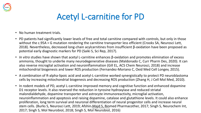

#### Acetyl L-carnitine for PD

- No human treatment trials.
- PD patients had significantly lower levels of free and total carnitine compared with controls, but only in those without the c.95A > G mutation rendering the carnitine transporter less efficient (Crooks SA, Neurosci Lett, 2018). Nevertheless, decreased long-chain acylcarnitines from insufficient β-oxidation have been proposed as potential early diagnostic markers for PD (Saiki S, Sci Rep, 2017).
- *In vitro* studies have shown that acetyl L-carnitine enhances β-oxidation and promotes elimination of excess ammonia, thought to underlie many neurodegenerative diseases (Maldonado C, Curr Pharm Des, 2020). It can also reverse microglial activation and neuroinflammation (Gill EL, ACS Chem Neurosci, 2018) and increase mitochondrial biogenesis and lower ROS production (Fernandez-Moriano C, Oxid Med Cell Longev, 2015).
- A combination of R-alpha-lipoic acid and acetyl-L-carnitine worked synergistically to protect PD neuroblastoma cells by increasing mitochondrial biogenesis and decreasing ROS production (Zhang H, J Cell Mol Med, 2010).
- In rodent models of PD, acetyl L-carnitine improved memory and cognitive function and enhanced dopamine D1 receptor levels. It also reversed the reduction in tyrosine hydroxylase and reduced striatal malondialdehyde, dopamine transporter and astrocyte immunoreactivity, microglial activation, neuroinflammation and apoptosis and raising dopamine, catalase and glutathione levels. It could also enhance proliferation, long term survival and neuronal differentiation of neural progenitor cells and increase neural stem cells. (Burks S, Neurosci Lett, 2019; Afshin-Majd S, Biomed Pharmacother, 2017; Singh S, Neurochem Int, 2017; Singh S, Mol Neurobiol, 2018; Singh S, Mol Neurobiol, 2016)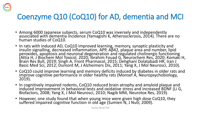

#### Coenzyme Q10 (CoQ10) for AD, dementia and MCI

- Among 6000 Japanese subjects, serum CoQ10 was inversely and independently associated with dementia incidence (Yamagishi K, Atherosclerosis, 2014). There are no human studies of CoQ10.
- In rats with induced AD, CoQ10 improved learning, memory, synaptic plasticity and insulin signalling, decreased inflammation, APP, Aβ42, plaque area and number, lipid peroxides, apoptosis and neuronal degeneration and regulated cholinergic functioning (Attia H, J Biochem Mol Toxicol, 2020; Ibrahim Fouad G, Neurochem Res, 2020; Komaki H, Brain Res Bull, 2019; Singh A, Front Pharmacol, 2015; Dehghani Dolatabadi HR, Iran J Basic Med Sci, 2012; Dumont M, J Alzheimers Dis, 2011; Yang X, J Mol Neurosci, 2010).
- CoQ10 could improve learning and memory deficits induced by diabetes in older rats and improve cognitive performance in older healthy rats (Monsef A, Neuropsychobiology, 2019).
- In cognitively impaired rodents, CoQ10 reduced brain atrophy and amyloid plaque and induced improvement in behavioral tests and oxidative stress and increased BDNF (Li G, Biofactors, 2008; Yang X, J Mol Neurosci, 2010; Nagib MM, Neurotox Res, 2019).
- However, one study found that when young mice were given high dose CoQ10, they suffered impaired cognitive function in old age (Sumien N, J Nutr, 2009).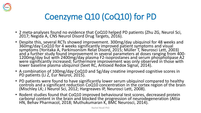

## Coenzyme Q10 (CoQ10) for PD

- 2 meta-analyses found no evidence that CoQ10 helped PD patients (Zhu ZG, Neurol Sci, 2017; Negida A, CNS Neurol Disord Drug Targets, 2016).
- Despite this, several RCTs showed improvement. 300mg/day ubiquinol for 48 weeks and 360mg/day CoQ10 for 4 weeks significantly improved patient symptoms and visual symptoms (Yoritaka A, Parkinsonism Relat Disord, 2015; Müller T, Neurosci Lett, 2003) and a further study found improvement in several parameters at doses ranging from 400- 1200mg/day but with 2400mg/day plasma F2-isoprostanes and serum phospholipase A2 were significantly increased; furthermore improvement was only observed in those with lower baseline plasma ubiquinol (Seet RC, Antioxid Redox Signal, 2014).
- A combination of 100mg/day CoQ10 and 5g/day creatine improved cognitive scores in PD patients (Li Z, Eur Neurol, 2015).
- PD patients were found to have significantly lower serum ubiquinol compared to healthy controls and a significant reduction CoQ10 concentration in the cortex region of the brain (Mischley LK; J Neurol Sci, 2012; Hargreaves IP, Neurosci Lett, 2008).
- Rodent studies found that CoQ10 improved behavioural test scores, decreased protein carbonyl content in the brain and blocked the progression of neurodegeneration (Attia HN, Behav Pharmacol, 2018; Muthukumaran K, BMC Neurosci, 2014).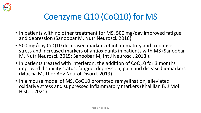

## Coenzyme Q10 (CoQ10) for MS

- In patients with no other treatment for MS, 500 mg/day improved fatigue and depression (Sanoobar M, Nutr Neurosci. 2016).
- 500 mg/day CoQ10 decreased markers of inflammatory and oxidative stress and increased markers of antioxidants in patients with MS (Sanoobar M, Nutr Neurosci. 2015; Sanoobar M, Int J Neurosci. 2013 ).
- In patients treated with interferon, the addition of CoQ10 for 3 months improved disability status, fatigue, depression, pain and disease biomarkers (Moccia M, Ther Adv Neurol Disord. 2019).
- In a mouse model of MS, CoQ10 promoted remyelination, alleviated oxidative stress and suppressed inflammatory markers (Khalilian B, J Mol Histol. 2021).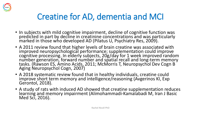

## Creatine for AD, dementia and MCI

- In subjects with mild cognitive impairment, decline of cognitive function was predicted in part by decline in creatinine concentrations and was particularly marked in those who developed AD (Pilatus U, Psychiatry Res, 2009).
- A 2011 review found that higher levels of brain creatine was associated with improved neuropsychological performance; supplementation could improve cognitive processing. In elderly subjects, 20g/day for 1 week improved random number generation, forward number and spatial recall and long-term memory tasks. (Rawson ES, Amino Acids, 2011; McMorris T, Neuropsychol Dev Cogn B Aging Neuropsychol Cogn, 2007)
- A 2018 systematic review found that in healthy individuals, creatine could improve short term memory and intelligence/reasoning (Avgerinos KI, Exp Gerontol, 2018).
- A study of rats with induced AD showed that creatine supplementation reduces learning and memory impairment (Alimohammadi-Kamalabadi M, Iran J Basic Med Sci, 2016).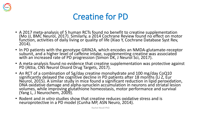

#### Creatine for PD

- A 2017 meta-analysis of 5 human RCTs found no benefit to creatine supplementation (Mo JJ, BMC Neurol, 2017). Similarly, a 2014 Cochrane Review found no effect on motor function, activities of daily living or quality of life (Xiao Y, Cochrane Database Syst Rev, 2014).
- In PD patients with the genotype GRIN2A, which encodes an NMDA-glutamate-receptor subunit, and a higher level of caffeine intake, supplementing creatine was associated with an increased rate of PD progression (Simon DK, J Neurol Sci, 2017).
- A meta-analysis found no evidence that creatine supplementation was protective against PD (Attia, CNS Neurol Disord Drug Targets, 2017).
- An RCT of a combination of 5g/day creatine monohydrate and 100 mg/day CoQ10 significantly delayed the cognitive decline in PD patients after 18 months (Li Z, Eur Neurol, 2015). A similar study in mice found a significant reduction in lipid peroxidation, DNA oxidative damage and alpha-synuclein accumulation in neurons and striatal lesion volumes, while improving glutathione homeostasis, motor performance and survival (Yang L, J Neurochem, 2009).
- Rodent and *in vitro* studies show that creatine reduces oxidative stress and is neuroprotective in a PD model (Cunha MP, ASN Neuro, 2014).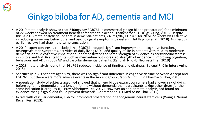

## Ginkgo biloba for AD, dementia and MCI

- A 2019 meta-analysis showed that 240mg/day EGb761 (a commercial ginkgo biloba preparation) for a minimum of 22 weeks showed no treatment benefit compared to placebo (Thancharoen O, Drugs Aging, 2019). Despite this, a 2018 meta-analysis found that in dementia patients, 240mg/day EGb761 for 20 or 22 weeks was effective in reducing numerous behavioural and psychological symptoms (Savaskan E, Int Psychogeriatr, 2018). Numerous earlier reviews had drawn the same conclusion.
- A 2019 expert consensus concluded that EGb761 induced significant improvement in cognitive function, neuropsychiatric symptoms, activities of daily living (ADL) and quality of life in patients with mild-to-moderate dementia or mild cognitive impairment. It demonstrated the same strength of evidence as acetylcholinesterase inhibitors and NMDA antagonists such as memantine but increased strength of evidence in improving cognition, behaviour and ADL in both AD and vascular dementia patients. (Kandiah Ñ, CNS Neurosci Ther, 2019)
- A 2018 meta-analysis found that EGb761 reduced incidence of tinnitus and dizziness (Spiegel R, Clin Interv Aging, 2018).
- Specifically in AD patients aged >79, there was no significant difference in cognitive decline between Aricept and EGb761, but there were more adverse events in the Aricept group (Rapp M, Int J Clin Pharmacol Ther, 2018).
- A population study of subjects aged >64 showed that ginkgo biloba extract consumers had a lower risk of dying before suffering dementia and a longer lifetime without dementia than participants taking other drugs for the same indication (Dartigues JF, J Prev Alzheimers Dis, 2017). However an earlier meta-analysis had found no evidence that ginkgo biloba could prevent dementia (Charemboon T, J Med Assoc Thai, 2015).
- In rats with vascular dementia, EGb761 promoted proliferation of endogenous neural stem cells (Wang J, Neural Regen Res, 2013).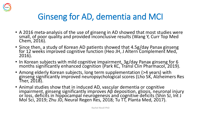

## Ginseng for AD, dementia and MCI

- A 2016 meta-analysis of the use of ginseng in AD showed that most studies were small, of poor quality and provided inconclusive results (Wang Y, Curr Top Med Chem, 2016).
- Since then, a study of Korean AD patients showed that 4.5g/day Panax ginseng for 12 weeks improved cognitive function (Heo JH, J Altern Complement Med, 2016).
- In Korean subjects with mild cognitive impairment, 3g/day Panax ginseng for 6 months significantly enhanced cognition (Park KC, Transl Clin Pharmacol, 2019).
- Among elderly Korean subjects, long term supplementation (>4 years) with ginseng significantly improved neuropsychological scores (Lho SK, Alzheimers Res Ther, 2018).
- Animal studies show that in induced AD, vascular dementia or cognitive impairment, ginseng significantly improves Aβ deposition, gliosis, neuronal injury or loss, deficits in hippocampal neurogenesis and cognitive deficits (Shin SJ, Int J Mol Sci, 2019; Zhu JD, Neural Regen Res, 2018; Tu TT, Planta Med, 2017).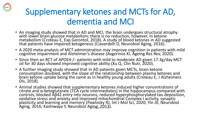## Supplementary ketones and MCTs for AD, dementia and MCI

- An imaging study showed that in AD and MCI, the brain undergoes structural atrophy with lower brain glucose metabolism; there is no reduction, however, in ketone metabolism (Croteau E, Exp Gerontol, 2018). A study of blood ketones in AD suggested that patients have impaired ketogenesis (Ciavardelli D, Neurobiol Aging, 2016).
- A 2020 meta-analysis of MCT administration may improve cognition in patients with mild cognitive impairment and Alzheimer's disease (Avgerinos KI, Ageing Res Rev, 2020).
- Since then an RCT of APOE4-/- patients with mild to moderate AD given 17.3g/day MCT oil for 30 days showed improved cognitive ability (Xu Q, Clin Nutr, 2020).
- A further imaging study showed that in AD patients given MCTs, brain ketone consumption doubled, with the slope of the relationship between plasma ketones and brain ketone uptake being the same as in healthy young adults (Croteau E, J Alzheimers Dis, 2018).
- Animal studies showed that supplementary ketones induced higher concentrations of citrate and α-ketoglutarate (TCA cycle intermediates) in the hippocampus compared with controls, blocked Aβ42 entry into neurons, reduced hyperphosphorylated tau deposition, oxidative stress and anxiety and improved mitochondrial Complex I activity, synaptic plasticity and learning and memory (Pawlosky RJ, Int J Mol Sci, 2020; Yin JX, Neurobiol Aging, 2016; Kashiwaya Y, Neurobiól Aging, 2013).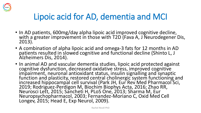

## Lipoic acid for AD, dementia and MCI

- In AD patients, 600mg/day alpha lipoic acid improved cognitive decline, with a greater improvement in those with T2D (Fava A, J Neurodegener Dis, 2013).
- A combination of alpha lipoic acid and omega-3 fats for 12 months in AD patients resulted in slowed cognitive and functional decline (Shinto L, J Alzheimers Dis, 2014).
- In animal AD and vascular dementia studies, lipoic acid protected against cognitive dysfunction, decreased oxidative stress, improved cognitive impairment, neuronal antioxidant status, insulin signalling and synaptic function and plasticity, restored central cholinergic system functioning and increased hippocampal cell survival (Park JH, Eur Rev Med Pharmacol Sci, 2019; Rodriguez-Perdigon M, Biochim Biophys Acta, 2016; Zhao RR, Neurosci Lett, 2015; Sancheti H, PLoS One, 2013; Sharma M, Eur Neuropsychopharmacol, 2003; Fernandez-Moriano C, Oxid Med Cell Longev, 2015; Head E, Exp Neurol, 2009).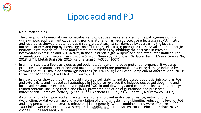

## Lipoic acid and PD

- No human studies.
- The disruption of neuronal iron homeostasis and oxidative stress are related to the pathogenesis of PD, while α-lipoic acid is an antioxidant and iron chelator and has neuroprotective effects against PD. In vitro and rat studies showed that α-lipoic acid could protect against cell damage by decreasing the levels of intracellular ROS and iron by increasing iron efflux from cells. It also promoted the survival of dopaminergic neurons in rat models of PD and ameliorated motor deficits by inhibiting the decrease in tyrosine hydroxylase expression and SOD activity in the substantia nigra. α-lipoic acid also attenuated induced iron accumulation both in vivo and in vitro. (Tai S, Front Neurosci, 2020; Cai T, Xi Bao Yu Fen Zi Mian Yi Xue Za Zhi, 2018; Li YH, Metab Brain Dis, 2015; Karunakaran S, FASEB J, 2007)
- In animal studies, α-lipoic acid decreased body rotations and improved motor performance. It was also protective, had antioxidant effects and maintained membrane potential, preventing damage induced by chronic use of L-DOPA in dopaminergic neurons (de Araújo DP, Evid Based Complement Alternat Med, 2013; Fernandez-Moriano C, Oxid Med Cell Longev, 2015).
- In vitro studies showed that R-lipoic acid increased cell viability and decreased apoptosis, intracellular ROS and cytotoxicity and induced cell autophagy in PD. It also reversed the induced decreased dopamine and increased α-synuclein expression, upregulated PGC-1α and downregulated expression levels of autophagyrelated proteins, including Parkin and PINK1, prevented depletion of glutathione and preserved mitochondrial Complex I activity. (Zhao H, Int J Biochem Cell Biol, 2017; Bharat S, Neurotoxicol, 2002)
- A combination of α-lipoic acid and acetyl L-carnitine improved motor performance, mitochondrial dysfunction, oxidative damage and accumulation of alpha-synuclein and ubiquitin, reduced the level of ROS and lipid peroxides and increased mitochondrial biogenesis. When combined, they were effective at 100-1000-fold lower concentrations was required individually Kaitone SA, Pharmacol Biochem Behav, 2012;<br>Zhang H, J Cell Mol Med, 2010)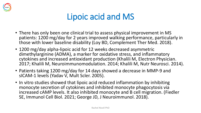

#### Lipoic acid and MS

- There has only been one clinical trial to assess physical improvement in MS patients: 1200 mg/day for 2 years improved walking performance, particularly in those with lower baseline disability (Loy BD, Complement Ther Med. 2018).
- 1200 mg/day alpha-lipoic acid for 12 weeks decreased asymmetric dimethylarginine (ADMA), a marker for oxidative stress, and inflammatory cytokines and increased antioxidant production (Khalili M, Electron Physician. 2017; Khalili M, Neuroimmunomodulation. 2014; Khalili M, Nutr Neurosci. 2014).
- Patients taking 1200 mg/day for 14 days showed a decrease in MMP-9 and sICAM-1 levels (Yadav V, Mult Scler. 2005).
- In vitro studies showed that lipoic acid reduced inflammation by inhibiting monocyte secretion of cytokines and inhibited monocyte phagocytosis via increased cAMP levels. It also inhibited monocyte and B cell migration. (Fiedler SE, Immunol Cell Biol. 2021; George JD, J Neuroimmunol. 2018).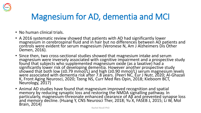

## Magnesium for AD, dementia and MCI

- No human clinical trials.
- A 2016 systematic review showed that patients with AD had significantly lower magnesium in cerebrospinal fluid and in hair but no differences between AD patients and controls were evident for serum magnesium (Veronese N, Am J Alzheimers Dis Other Demen, 2016).
- Since then, two cross-sectional studies showed that magnesium intake and serum magnesium were inversely associated with cognitive impairment and a prospective study found that subjects who supplemented magnesium oxide (as a laxative) had a significantly lower risk of developing dementia. However another prospective study showed that both low (≤0.79 mmol/L) and high (≥0.90 mmol/L) serum magnesium levels were associated with dementia risk after 7.8 years. (Peeri NC, Eur J Nutr, 2020; Al-Ghazali K, Front Aging Neurosci, 2020; Tzeng NS, Curr Med Res Opin, 2018; Kieboom BCT, Neurology, 2017)
- Animal AD studies have found that magnesium improved recognition and spatial memory by reducing synaptic loss and restoring the NMDA signalling pathway. In particularly, magnesium-threonate enhanced clearance of Aβ and prevented synapse loss and memory decline. (Huang Y, CNS Neurosci Ther, 2018; Yu X, FASEB J, 2015; Li W, Mol Brain, 2014)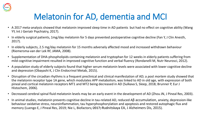

## Melatonin for AD, dementia and MCI

- A 2017 meta-analysis showed that melatonin improved sleep time in AD patients but had no effect on cognitive ability (Wang YY, Int J Geriatr Psychiatry, 2017).
- In elderly surgical patients, 1mg/day melatonin for 5 days prevented postoperative cognitive decline (Fan Y, J Clin Anesth, 2017).
- In elderly subjects, 2.5 mg/day melatonin for 15 months adversely affected mood and increased withdrawn behaviour (Riemersma-van der Lek RF, JAMA, 2008).
- Supplementation of DHA-phospholipids containing melatonin and tryptophan for 12 weeks in elderly patients suffering from mild cognitive impairment resulted in improved cognitive function and verbal fluency (Rondanelli M, Nutr Neurosci, 2012).
- A population study of elderly subjects found that higher serum melatonin levels were associated with lower cognitive decline and depression (Obayashi K, J Clin Endocrinol Metab, 2015).
- Disruption of the circadian rhythms is a frequent preclinical and clinical manifestation of AD; a *post mortem* study showed that the melatonin receptor type 1A gene, which modulates APP metabolism, was linked to AD in old age, with expression of both pineal and cortical melatonin receptors MT1 and MT2 being decreased in AD (Sulkava S, Sleep, 2018; Brunner P, Eur J Histochem, 2006).
- Decreased cerebral spinal fluid melatonin levels may be an early event in the development of AD (Zhou JN, J Pineal Res, 2003).
- In animal studies, melatonin prevents cognitive decline in tau-related AD, reduced Aβ accumulation, anxiety, depression-like behaviour oxidative stress, neuroinflammation, tau hyperphosphorylation and apoptosis and restored autophagic flux and memory (Luengo E, J Pineal Res, 2019; Nie L, Biofactors, 2001/?) Rudnitskaya EA, J Alzheimers Dis, 2015).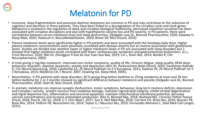

#### Melatonin for PD

- Insomnia, sleep fragmentation and excessive daytime sleepiness are common in PD and may contribute to the reduction of cognition and alertness in those patients. They have been linked to a dysregulation of the circadian cycle and clock genes. Melatonin is involved in the regulation of sleep and circadian biological rhythmicity; decreased melatonin secretion has been associated with circadian disruptions and also with hypothalamic volume loss and PD severity. In PD patients, there were correlations between serum melatonin level and sleep dysfunction. (Delgado-Lara DL, Biomed Pharmacother, 2020; Kataoka H, Sleep Med, 2020; Hadoush H, NeuroRehabilitation, 2020; Breen DP, Moc Disord, 2016)
- Plasma melatonin levels were significantly higher in PD patients and were associated with the levodopa daily dose. Higher plasma melatonin concentrations were positively correlated with disease severity but an inverse association with glutathione levels. Studies are divided over whether lower or higher melatonin levels in PD are associated with sleep disorders but 1 showed that higher melatonin levels correlated with fewer cardiovascular symptoms and gastrointestinal dysfunction. (Li L, Front Neurosci, 2020; Wei HJ, Zhongguo Yi Xue Ke Xue Yuan Xue Bao, 2019; Lin L, Brain Res, 2014; Bordet R, Clin Neuropharmacol, 2003)
- A trials giving 2 mg/day melatonin improved non-motor symptoms, quality of life, chromic fatigue, sleep quality, REM sleep behaviour disorders, daytime sleepiness, anxiety and depression (Ahn JH, Parkinsonism Relat Disord, 2020; Daneshvar Kakhaki R, Clin Neurol Neurosurg, 2020; Lyashenko ЕА, Zh Nevrol Psikhiatr Im S S Korsakova, 2015; Datieva VK, Zh Nevrol Psikhiatr Im S S Korsakova, 2013; Medeiros CA, J Neurol, 2007; Dowling GA, Sleep Med, 2005).
- Nevertheless, in PD patients with sleep disorders, RCTs giving 4mg before bedtime or 25mg melatonin at noon and 30 min before bedtime for 2 or 3 months showed no significant difference between melatonin and placebo (Delgado-Lara DL, Biomed Pharmacother, 2020; Gilat M, Mov Disord, 2020).
- In animals, melatonin can improve synaptic dysfunction, motor symptoms, behaviour, long-term memory deficits, depression and Complex I activity, protect neurons from oxidative damage, maintain nigrostriatal integrity, inhibit striatal degeneration and nigral dopamine loss, inflammation and neuronal apoptosis, maintain mitochondrial membrane potential, decrease calcium concentrations and increase antioxidant production. (Ran D, Biomed Rep, 2018; Rasheed MZ, J Environ Pathol Toxicol Oncol, 2018; Paul R, Life Sci, 2018; Li Y, Chin Med J, 2017; Sun X, Mol Med Rep, 2016; Carriere CH, Brian Res, 2016; Bassani TB, Brain Res, 2014; Yildirim FB, Neurochem Int, 2014; Tapias V, J Neurosci Res, 2010; Fernandez-Moriano C, Oxid Med Cell Longev,<br>2015). and **2015).**<br>Rachel Nicoll PhD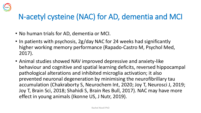

#### N-acetyl cysteine (NAC) for AD, dementia and MCI

- No human trials for AD, dementia or MCI.
- In patients with psychosis, 2g/day NAC for 24 weeks had significantly higher working memory performance (Rapado-Castro M, Psychol Med, 2017).
- Animal studies showed NAV improved depressive and anxiety-like behaviour and cognitive and spatial learning deficits, reversed hippocampal pathological alterations and inhibited microglia activation; it also prevented neuronal degeneration by minimising the neurofibrillary tau accumulation (Chakraborty S, Neurochem Int, 2020; Joy T, Neurosci J, 2019; Joy T, Brain Sci, 2018; Shahidi S, Brain Res Bull, 2017). NAC may have more effect in young animals (Ikonne US, J Nutr, 2019).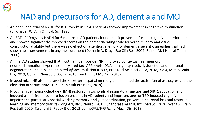

## NAD and precursors for AD, dementia and MCI

- An open label trial of NADH for 8-12 weeks in 17 AD patients showed improvement in cognitive dysfunction (Birkmayer JG, Ann Clin Lab Sci, 1996).
- An RCT of 10mg/day NADH for 6 months in AD patients found that it prevented further cognitive deterioration and showed significantly improved scores on the dementia rating scale for verbal fluency and visualconstructional ability but there was no effect on attention, memory or dementia severity; an earlier trial had shown no improvements in any measurement (Demarin V, Drugs Exp Clin Res, 2004; Rainer M, J Neural Transm, 2000).
- Animal AD studies showed that nicotinamide riboside (NR) improved contextual fear memory, neuroinflammation, hyperphosphorylated tau, APP levels, DNA damage, synaptic dysfunction and neuronal degeneration and loss and inhibited Aβ accumulation (Hou Y, Proc Natl Acad Sci U S A, 2018; Xie X, Metab Brain Dis, 2019; Gong B, Neurobiol Aging, 2013; Lee HJ, Int J Mol Sci, 2019).
- In aged mice, NR also improved the short-term spatial memory and inhibited the activation of astrocytes and the elevation of serum NAMPT (Xie X, Metab Brain Dis, 2019).
- Nicotinamide mononucleotide (NMN) restored mitochondrial respiratory function and SIRT1 activation and induced a shift from fission to fusion proteins in AD rodents and improved age- or T2D-induced cognitive impairment, particularly spatial working memory, and gait coordination, prevented neuronal loss and restored learning and memory deficits (Long AN, BMC Neurol, 2015; Chandrasekaran K, Int J Mol Sci, 2020; Wang X, Brain Res Bull, 2020; Tarantini S, Redox Biol, 2019; Johnson S, Nipple Aging Mech Dis, 2018).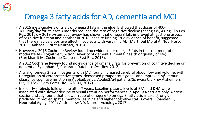

#### Omega 3 fatty acids for AD, dementia and MCI

- A 2016 meta-analysis of trials of omega 3 fats in the elderly showed that doses of 400- 1800mg/day for at least 3 months reduced the rate of cognitive decline (Zhang XW, Aging Clin Exp Res, 2016). A 2019 systematic review had shown that omega 3 fats improved at least one aspect of cognitive function and another in 2018, despite finding little evidence of benefit, suggested that there may be a positive effect in subjects with very mild AD (Martí Del Moral A, Nutr Hosp, 2019; Canhada S, Nutr Neurosci, 2018).
- However a 2016 Cochrane Review found no evidence for omega 3 fats in the treatment of mildmoderate AD (cognitive function, severity of dementia, mental health or quality of life) (Burckhardt M, Cochrane Database Syst Rev, 2016).
- A 2012 Cochrane Review found no evidence of omega 3 fats for prevention of cognitive decline or dementia (Sydenham E, Cochrane Database Syst Rev, 2012).
- A trial of omega 3 fats in patients with MCI found increased cerebral blood flow and volume, with upregulation of cytoprotective genes, decreased proapoptotic genes and improved Aβ immune clearance cognitive function in ApoEe3/e3 vs. ApoEe3/e4 patients(Schwarz C, J Prev Alzheimers Dis, 2018; Olivera-Perez HM, FASEB J, 2017).
- In elderly subjects followed up after 7 years, baseline plasma levels of EPA and DHA were associated with slower decline of visual retention performances in ApoE-ε4 carriers only. A crosssectional study found that a lower ratio of omega-6 to omega-3 fatty acid intake strongly  $\,$ predicted improved spatial memory, learning and higher cognitive status overall. (Samieri C, Neurobiol Aging, 2011; Andruchow ND, Neuropsychology, 2017).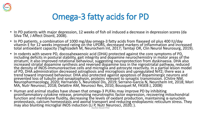

## Omega-3 fatty acids for PD

- In PD patients with major depression, 12 weeks of fish oil induced a decrease in depression scores (da Silva TM, J Affect Disord, 2008).
- In PD patients, a combination of 1000 mg/day omega-3 fatty acids from flaxseed oil plus 400 IU/day vitamin E for 12 weeks improved rating on the UPDRS, decreased markers of inflammation and increased total antioxidant capacity (Taghizadeh M, Neurochem Int, 2017; Tamtaji OR, Clin Neurol Neurosurg, 2019).
- In rodents with severe PD, docosahexaenoic acid (DHA) protected against the core symptoms of PD, including deficits in postural stability, gait integrity and dopamine neurochemistry in motor areas of the striatum; it also improved rotational behaviour, suggesting neuroprotection from dyskinaesia. DHA also increased striatal dopamine synthesis and reversed dopamine loss in the nigrostriatal pathway, reduced the density of iNOS-immunoreactive cells and microglia and astrocyte reactivity. In a partial lesion model of PD, DHA administration decreased astrogliosis and microgliosis and upregulated Nrf2; there was a trend toward improved behaviour. DHA also protected against apoptosis of dopaminergic neurons and prevented loss of tubulin and synaptophysin, proteins relevant to synaptic transmission. (Chitre NM, Neuropharmacology, 2020; Hernando S, Neurobiol Dis, 2019; Serrano-García N, Neurchem Int, 2018; Mori MA, Nutr Neurosci, 2018; Delattre AM, Neurosci Res, 2010; Bousquet M, FASEB J, 2008)
- Human and animal studies have shown that omega-3 PUFAs may improve PD by inhibiting proinflammatory cytokine release, promoting neurotrophic factor expression, recovering mitochondrial function and membrane fluidity, decreasing the levels of oxidant production, maintaining α-synuclein proteostasis, calcium homeostasis and axonal transport and reducing endoplasmic reticulum stress. They may also blunting microglial iNOS induction (Li P, Nutr Neurosci, 2020; ).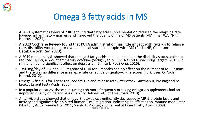

## Omega 3 fatty acids in MS

- A 2021 systematic review of 7 RCTs found that fatty acid supplementation reduced the relapsing rate, lowered inflammatory markers and improved the quality of life of MS patients (AlAmmar WA, Nutr Neurosci. 2021).
- A 2020 Cochrane Review found that PUFA administration has little impact with regards to relapse rate, disability worsening or overall clinical status in people with MS (Parks NE, Cochrane Database Syst Rev. 2020).
- A 2019 meta-analysis showed that omega 3 fatty acids had no impact on the disability status scale but reduced TNF-α, a pro-inflammatory cytokine (Sedighiyan M, CNS Neurol Disord Drug Targets. 2019). It similarly had no significant effect on depression (Shinto L, PLoS One. 2016).
- 1350 mg/day of EPA and 850 mg/day of DHA for 6 months had no effect on the number of MRI lesions and there was no difference in relapse rate or fatigue or quality-of-life scores (Torkildsen O, Arch Neurol. 2012).
- Omega-3 fish oils for 1 year reduced fatigue and relapse rate (Weinstock-Guttman B, Prostaglandins Leukot Essent Fatty Acids. 2005).
- In a population study, those consuming fish more frequently or taking omega-e supplements had an improved quality of life and less disability (Jelinek GA, Int J Neurosci. 2013).
- An *in vitro* study showed that omega-3 fatty acids significantly decreased MMP-9 protein levels and activity and significantly inhibited human T cell migration, indicating an effect as an immune modulator (Shinto L, Autoimmune Dis. 2011; Shinto L, Prostaglandins Leukot Essent Fatty Acids. 2009). Rachel Nicoll PhD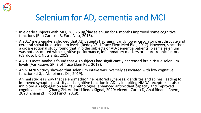

## Selenium for AD, dementia and MCI

- In elderly subjects with MCI, 288.75 µg/day selenium for 6 months improved some cognitive functions (Rita Cardoso B, Eur J Nutr, 2016).
- A 2017 meta-analysis showed that AD patients had significantly lower circulatory, erythrocyte and cerebral spinal fluid selenium levels (Reddy VS, J Trace Elem Med Biol, 2017). However, since then a cross-sectional study found that in older subjects or AD/dementia patients, plasma selenium was not associated with cognitive performance, inflammatory markers or neurotrophic factors (Cardoso BR, Nutrients, 2018).
- A 2019 meta-analysis found that AD subjects had significantly decreased brain tissue selenium levels (Varikasuvu SR, Biol Trace Elem Res, 2019).
- An NHANES study showed that selenium intake was inversely associated with low cognitive function (Li S, J Alzheimers Dis, 2019).
- Animal studies show that selenomethionine restored synapses, dendrites and spines, leading to improved synaptic plasticity and cognitive function in AD by inhibiting NMDA receptors; it also inhibited Aβ aggregation and tau pathologies, enhanced antioxidant capacity and improved cognitive decline (Zhang ZH, Antioxid Redox Signal, 2020; Vicente-Zurdo D, Anal Bioanal Chem, 2020; Zhang ZH, Food Funct, 2018).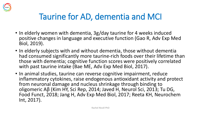

## Taurine for AD, dementia and MCI

- In elderly women with dementia, 3g/day taurine for 4 weeks induced positive changes in language and executive function (Gao R, Adv Exp Med Biol, 2019).
- In elderly subjects with and without dementia, those without dementia had consumed significantly more taurine-rich foods over their lifetime than those with dementia; cognitive function scores were positively correlated with past taurine intake (Bae ME, Adv Exp Med Biol, 2017).
- In animal studies, taurine can reverse cognitive impairment, reduce inflammatory cytokines, raise endogenous antioxidant activity and protect from neuronal damage and nucleus shrinkage through binding to oligomeric Aβ (Kim HY, Sci Rep, 2014; Javed H, Neurol Sci, 2013; Tu DG, Food Funct, 2018; Jang H, Adv Exp Med Biol, 2017; Reeta KH, Neurochem Int, 2017).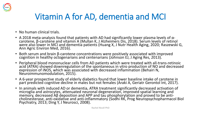

## Vitamin A for AD, dementia and MCI

- No human clinical trials.
- A 2018 meta-analysis found that patients with AD had significantly lower plasma levels of αcarotene, β-carotene and vitamin A (Mullan K, J Alzheimers Dis, 2018). Serum levels of retinol were also lower in MCI and dementia patients (Huang X, J Nutr Health Aging, 2020; Raszewski G, Ann Agric Environ Med, 2016).
- Both serum and brain β-carotene concentrations were positively associated with improved cognition in healthy octogenarians and centenarians (Johnson EJ, J Aging Res, 2013).
- Peripheral blood mononuclear cells from AD patients which were treated with all-trans-retinoic acid (ATRA) showed downregulation of the spontaneous in vitro production of NO and decreased expression of iNOS, which was associated with decreased inflammation (Behairi N, Neuroimmunomodulation, 2015).
- A 6-year prospective study of elderly diabetics found that lower baseline intake of carotene in part predicted cognitive decline in males but not females (Araki A, Geriatr Gerontol Int, 2017).
- In animals with induced AD or dementia, ATRA treatment significantly decreased activation of microglia and astrocytes, attenuated neuronal degeneration, improved spatial learning and memory, decreased Aβ deposition and APP and tau phosphorylation and proved to be anticholinesterase, anti-oxidative and anti-inflammatory (Sodhi RK, Prog Neuropsychopharmacol Biol Psychiatry, 2013; Ding Y, J Neurosci, 2008).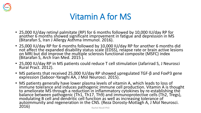

#### Vitamin A for MS

- 25,000 IU/day retinyl palmitate (RP) for 6 months followed by 10,000 IU/day RP for another 6 months showed significant improvement in fatigue and depression in MS (Bitarafan S, Iran J Allergy Asthma Immunol. 2016).
- 25,000 IU/day RP for 6 months followed by 10,000 IU/day RP for another 6 months did not affect the expanded disability status scale (EDSS), relapse rate or brain active lesions on MRI but did improve the multiple sclerosis functional composite (MSFC) index (Bitarafan S, Arch Iran Med. 2015 ).
- 25,000 IU/day RP in MS patients could reduce T cell stimulation (Jafarirad S, J Neurosci Rural Pract. 2012).
- MS patients that received 25,000 IU/day RP showed upregulated TGF-β and FoxP3 gene expression (Saboor-Yaraghi AA, J Mol Neurosci. 2015).
- MS patients generally have lower plasma levels of vitamin A, which leads to loss of immune tolerance and induces pathogenic immune cell production. Vitamin A is thought to ameliorate MS through a reduction in inflammatory cytokines by re-establishing the balance between pathogenic (Th1, Th17, Th9) and immunoprotective cells (Th2, Tregs), modulating B cell and dendritic cell function as well as increasing tolerance of autoimmunity and regeneration in the CNS. (Reza Dorosty-Motlagh A, J Mol Neurosci.<br>2016) Rachel Nicoll PhD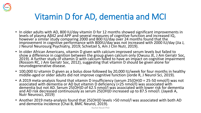

## Vitamin D for AD, dementia and MCI

- In older adults with AD, 800 IU/day vitamin D for 12 months showed significant improvements in levels of plasma Aβ42 and APP and several measures of cognitive function and increased IQ, however a similar study comparing 2000 and 800 IU/day over 24 months found that the improvement in cognitive performance with 800IU/day was not increased with 2000 IU/day (Jia J, J Neurol Neurosurg Psychiatry, 2019; Schietzel S, Am J Clin Nutr, 2019).
- In older African Americans, vitamin D given with calcium improved serum levels but failed to show a difference in cognition between the group given calcium only (Owusu JE, J Am Geriatr Soc, 2019). A further study of vitamin D with calcium failed to have an impact on cognitive impairment (Rossom RC, J Am Geriatr Soc, 2012), suggesting that vitamin D should be given alone for neurodegenerative disease.
- 100,000 IU vitamin D given as a bolus dose followed by 20,000 IU/week for four months in healthy middle-aged or older adults did not improve cognitive function (Jorde R, J Neurol Sci, 2019).
- A 2019 meta-analysis found that vitamin D insufficiency (serum 25(OH)D = 25-50 nmol/l) was not associated with dementia or AD but vitamin D deficiency (<25 nmol/l) was associated with dementia but not AD. Serum 25(OH)D of 62.5 nmol/l was associated with lower risk for dementia and AD risk decreased continuously as serum 25(OH)D increased up to 87.5 nmol/l. (Jayedi A, Nutr Neurosci, 2019)
- Another 2019 meta-analysis found that 25(OH)D levels >50 nmol/l was associated with both AD and dementia incidence (Chai B, BMC Neurol, 2019).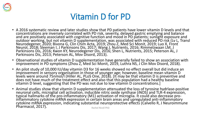

#### Vitamin D for PD

- A 2016 systematic review and later studies show that PD patients have lower vitamin D levels and that concentrations are inversely correlated with PD risk, severity, delayed gastric emptying and balance and are positively associated with cognitive function and mood in PD patients; sunlight exposure and outdoor working, but not vitamin D supplementation, was associated with reduced PD risk (Lv L, Transl Neurodegener, 2020; Bivona G, Clin Chim Acta, 2019; Zhou Z, Med Sci Monit, 2019; Luo X, Front Neurol, 2018; Sleeman I, J Parkinsons Dis, 2017; Wang J, Nutrients, 2016; Rimmelzwaan LM, J Parkinsons Dis, 2016; Kwon KY, Neurodegener Dis, 2016; Shen L, Nutrients, 2015; Peterson AL, J Parkinsons Dis, 2013; Peterson AL, Mov Disord, 2013).
- Observational studies of vitamin D supplementation have generally failed to show an association with improvement in PD symptoms (Zhou Z, Med Sci Monit, 2019, Luthra NS, J Clin Mov Disord, 2018).
- An pilot study of 10,000 IU/day vitamin D3 for 16 weeks showed no effect overall but did induce an improvement in sensory organisation in those of younger age; however, baseline mean vitamin D levels were around 75nmol/l (Hiller AL, PLoS One, 2018). [It may be that vitamin D is preventive and does not have much of the treatment effect and also that this population had a healthy baseline vitamin D level, suggesting that the PD was not due to low vitamin D concentrations.]
- Animal studies show that vitamin D supplementation attenuated the loss of tyrosine hydrlase-positive neuronal cells, microglial cell activation, inducible nitric oxide synthase (iNOS) and TLR-4 expression, typical hallmarks of the pro-inflammatory (M1) activation of microglia. It could also decrease proinflammatory cytokine mRNA expression in certain brain areas and upregulated anti-inflammatory cytokine mRNA expression, indicating substantial neuroprotective effects (Calvello R, J Neuroimmune Pharmacol, 2017). **Pharmacol, 2017**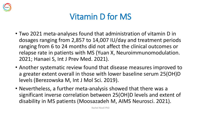

## Vitamin D for MS

- Two 2021 meta-analyses found that administration of vitamin D in dosages ranging from 2,857 to 14,007 IU/day and treatment periods ranging from 6 to 24 months did not affect the clinical outcomes or relapse rate in patients with MS (Yuan X, Neuroimmunomodulation. 2021; Hanaei S, Int J Prev Med. 2021).
- Another systematic review found that disease measures improved to a greater extent overall in those with lower baseline serum 25(OH)D levels (Berezowska M, Int J Mol Sci. 2019).
- Nevertheless, a further meta-analysis showed that there was a significant inverse correlation between 25(OH)D levels and extent of disability in MS patients (Moosazadeh M, AIMS Neurosci. 2021).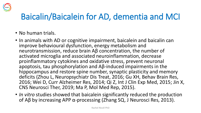

#### Baicalin/Baicalein for AD, dementia and MCI

- No human trials.
- In animals with AD or cognitive impairment, baicalein and baicalin can improve behavioural dysfunction, energy metabolism and neurotransmission, reduce brain Aβ concentration, the number of activated microglia and associated neuroinflammation, decrease proinflammatory cytokines and oxidative stress, prevent neuronal apoptosis, tau phosphorylation and Aβ-induced impairments in the hippocampus and restore spine number, synaptic plasticity and memory deficits (Zhou L, Neuropsychiatr Dis Treat, 2016; Gu XH, Behav Brain Res, 2016; Wei D, Curr Alzheimer Res, 2014; Qi Z, Int J Clin Exp Med, 2015; Jin X, CNS Neurosci Ther, 2019; Ma P, Mol Med Rep, 2015).
- *In vitro* studies showed that baicalein significantly reduced the production of Aβ by increasing APP α-processing (Zhang SQ, J Neurosci Res, 2013).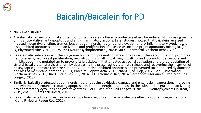

## Baicalin/Baicalein for PD

- No human studies.
- A systematic review of animal studies found that baicalein offered a protective effect for induced PD, focusing mainly on its antioxidative, anti-apoptotic and anti-inflammatory actions. Later studies showed that baicalein reversed induced motor dysfunction, tremor, loss of dopaminergic neurons and elevation of pro-inflammatory cytokines. It also inhibited apoptosis and the activation and proliferation of disease-associated proinflammatory microglia. (Zhu Q, Phytomedicine, 2019; Rui W, Int J Neuropsychopharmacol, 2020; Mu X, Pharmacol Biochem Behav, 2009)
- Baicalein also inhibits α-synuclein oligomer formation, prevents progression of α-synuclein accumulation, promotes neurogenesis, neuroblast proliferation, neurotrophin signalling pathways, walking and locomotor behaviours and inhibits dopamine metabolism to prevent its breakdown. It attenuated astroglial activation and the upregulation of striatal basal glutamatergic strength by decreasing the presynaptic glutamate release and recovering the insertion of postsynaptic glutamate receptor subunit GluR1. It also inhibited apoptosis and prevented toxin-induced dysfunction and loss of membrane potential (Hu Q, Biochim Biophys Acta, 2016; Zhang X, Sci Rep, 2017; Gao L, Pharmacol Biochem Behav, 2015; Xue X, Brain Res Bull, 2014; Li E, J Neurosci Res, 2014; Fernandez-Moriano C, Oxid Med Cell Longev, 2015).
- Similarly, baicalin protected dopaminergic neurons against oxidative damage and α-synuclein expression, improving behavioural performance, reducing apoptosis and dopaminergic neuron loss in the substantia nigra and inactivating proinflammatory cytokines and oxidative stress. (Lei K, Oxid Med Cell Longev, 2020; Tu L, Neuropsychiatr Dis Treat, 2019; Zhai H, J Integr Neurosci, 2019)
- Baicalin also acts to remove iron from various brain regions and had a protective effect on dopaminergic neurons (Xiong P, Neural Regen Res, 2012).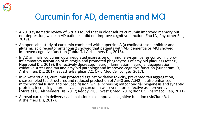

## Curcumin for AD, dementia and MCI

- A 2019 systematic review of 6 trials found that in older adults curcumin improved memory but not depression, while in AD patients it did not improve cognitive function (Zhu LN, Phytother Res, 2019).
- An open label study of curcumin combined with huperzine A (a cholinesterase inhibitor and glutamic acid receptor antagonist) showed that patients with AD, dementia or MCI showed improved cognitive function (Tabira T, J Alzheimers Dis, 2018).
- In AD animals, curcumin downregulated expression of immune system genes controlling proinflammatory activation of microglia and promoted phagocytosis of amyloid plaques (Teter B, Neurobiol Dis, 2019). It effectively decreased neuroinflammation, neuronal degeneration, oxidative stress and tau and amyloid pathology and improved cognitive function (Sundaram JR, J Alzheimers Dis, 2017; Sevastre-Berghian AC, Oxid Med Cell Longev, 2017).
- In *in vitro* studies, curcumin protected against oxidative toxicity, prevented tau aggregation, disassembled tau structures and reduced production of Aβ40 and Aβ42). It also enhanced mitochondrial fusion and reduced fission, while increasing mitochondrial biogenesis and synaptic proteins, increasing neuronal viability; curcumin was even more effective as a preventive. (Morales I, J Alzheimers Dis, 2017; Reddy PH, J Investig Med, 2016; Xiong Z, Pharmacol Rep, 2011)
- Aerosol curcumin delivery (via inhalation) also improved cognitive function (McClure R, J Alzheimers Dis, 2017).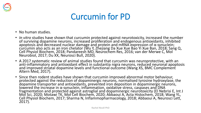

#### Curcumin for PD

- No human studies.
- *In vitro* studies have shown that curcumin protected against neurotoxicity, increased the number of surviving dopamine neurons, increased proliferation and endogenous antioxidants, inhibited apoptosis and decreased nuclear damage and protein and mRNA expression of α-synuclein; curcumin also acts as an iron chelator (Wu Y, Zhejiang Da Xue Xue Bao Yi Xue Ban, 2018; Sang Q, Cell Physiol Biochem, 2018; Pandareesh MD, Neurochem Res, 2016; van der Merwe C, Mol Neurobiol, 2017; Du XX, Neurosci Bull, 2020).
- A 2017 systematic review of animal studies found that curcumin was neuroprotective, with an anti-inflammatory and antioxidant effect in substantia nigra neurons, reduced neuronal apoptosis and improved striatal dopamine levels and functional outcome (Wang XS, BMC Complement Altern Med, 2017).
- Since then rodent studies have shown that curcumin improved abnormal motor behaviour, protected against the reduction of dopaminergic neurons, normalised tyrosine hydroxylase, the dopamine transporter and antioxidants, prevented iron deposition in dopaminergic neurons, lowered the increase in α-synuclein, inflammation, oxidative stress, caspases and DNA fragmentation and protected against astroglial and dopaminergic neurotoxicity (El Nebrisi E, Int J Mol Sci, 2020; Motawi TK, Mol Cell Biochem, 2020; Abbaoui A, Acta Histochem, 2018; Wang YL, Cell Physiol Biochem, 2017; Sharma N, Inflammopharmacology, 2018; Abbaoui A, Neurosci Lett, 2017).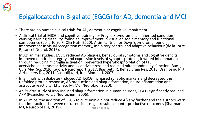#### Epigallocatechin-3-gallate (EGCG) for AD, dementia and MCI

- There are no human clinical trials for AD, dementia or cognitive impairment.
- A clinical trial of EGCG and cognitive training for Fragile X syndrome, an inherited condition causing learning disability, found an improvement in visual episodic memory and functional competence (de la Torre R, Clin Nutr, 2020). A similar trial for Down's syndrome found improvement in visual recognition memory, inhibitory control and adaptive behaviour (de la Torre R, Lancet Neurol, 2016).
- In AD animal studies, EGCG reduced Aβ plaques, behavioural symptoms and cognitive deficits, improved dendritic integrity and expression levels of synaptic proteins, lowered inflammation through reducing microglia activation, prevented hyperphosphorylation of tau, acetylcholinesterase activity and oxidative stress and reduced mitochondrial dysfunction (Bao J, Curr Med Sci, 2020; Guo Y, Neuroreport, 2017; Biasibetti R, Behav Brain Res, 2013; Dragicevic N, J Alzheimers Dis, 2011; Rasoolijazi H, Iran Biomed J, 2007).
- In animals with diabetes-induced AD, EGCG increased synaptic markers and decreased the unfolded protein response, Aβ production and plaque formation, neuroinflammation and astrocyte reactivity (Ettcheto M, Mol Neurobiol, 2020).
- An *in vitro* study of iron-induced plaque formation in human neurons, EGCG significantly reduced APP (Reznichenko L, J Neurochem, 2006).
- In AD mice, the addition of EGCG to curcumin did not reduce Aβ any further and the authors warn that interactions between nutraceuticals might result in counterproductive outcomes (Sharman MJ, Neurobiol Dis, 2019). Rachel Nicoll PhD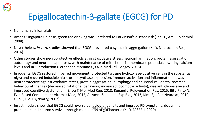

## Epigallocatechin-3-gallate (EGCG) for PD

- No human clinical trials.
- Among Singapore Chinese, green tea drinking was unrelated to Parkinson's disease risk (Tan LC, Am J Epidemiol, 2008).
- Nevertheless, *in vitro* studies showed that EGCG prevented α-synuclein aggregation (Xu Y, Neurochem Res, 2016).
- Other studies show neuroprotective effects against oxidative stress, neuroinflammation, protein aggregation, autophagy and neuronal apoptosis, with maintenance of mitochondrial membrane potential, lowering calcium levels and ROS production (Fernandez-Moriano C, Oxid Med Cell Longev, 2015).
- In rodents, EGCG restored impaired movement, protected tyrosine hydroxylase-positive cells in the substantia nigra and reduced inducible nitric oxide synthase expression, immune activation and inflammation. It was neuroprotective against oxidative stress, protein aggregation, autophagy and neuronal cell death, reversed behavioural changes (decreased rotational behaviour, increased locomotor activity), was anti-depressive and improved cognitive dysfunction. (Zhou T, Mol Med Rep, 2018; Renaud J, Rejuvenation Res, 2015; Bitu Pinto N, Evid Based Complement Alternat Med, 2015; Al-Amri JS, Indian J Exp Biol, 2013; Kim JS, J Clin Neurosci, 2010; Guo S, Biol Psychiatry, 2007)
- Insect models show that EGCG could reverse behavioural deficits and improve PD symptoms, dopamine production and neuron survival through modulation of gut bacteria (Xu Y, FASEB J, 2020).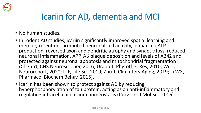

### Icariin for AD, dementia and MCI

- No human studies.
- In rodent AD studies, icariin significantly improved spatial learning and memory retention, promoted neuronal cell activity, enhanced ATP production, reversed axon and dendritic atrophy and synaptic loss, reduced neuronal inflammation, APP, Aβ plaque deposition and levels of Aβ42 and protected against neuronal apoptosis and mitochondrial fragmentation (Chen YJ, CNS Neurosci Ther, 2016; Urano T, Phytother Res, 2010; Wu J, Neuroreport, 2020; Li F, Life Sci, 2019; Zhu T, Clin Interv Aging, 2019; Li WX, Pharmacol Biochem Behav, 2015).
- Icariin has been shown to protect against AD by reducing hyperphosphorylation of tau protein, acting as an anti-inflammatory and regulating intracellular calcium homeostasis (Cui Z, Int J Mol Sci, 2016).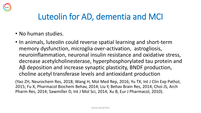

## Luteolin for AD, dementia and MCI

- No human studies.
- In animals, luteolin could reverse spatial learning and short-term memory dysfunction, microglia over-activation, astrogliosis, neuroinflammation, neuronal insulin resistance and oxidative stress, decrease acetylcholinesterase, hyperphosphorylated tau protein and Aβ deposition and increase synaptic plasticity, BNDF production, choline acetyl transferase levels and antioxidant production

(Yao ZH, Neurochem Res, 2018; Wang H, Mol Med Rep, 2016; Yu TX, Int J Clin Exp Pathol, 2015; Fu X, Pharmacol Biochem Behav, 2014; Liu Y, Behav Brain Res, 2014; Choi JS, Arch Pharm Res, 2014; Sawmiller D, Int J Mol Sci, 2014; Xu B, Eur J Pharmacol, 2010).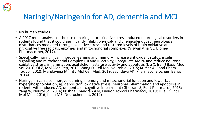

#### Naringin/Naringenin for AD, dementia and MCI

- No human studies.
- A 2017 meta-analysis of the use of naringin for oxidative stress-induced neurological disorders in rodents found that it could significantly inhibit physical- and chemical-induced neurological disturbances mediated through oxidative stress and restored levels of brain oxidative and nitrosative free radicals, enzymes and mitochondrial complexes (Viswanatha GL, Biomed Pharmacother, 2017).
- Specifically, naringin can improve learning and memory, increase antioxidant status, insulin signalling and mitochondrial Complex I, II and III activity, upregulate AMPK and reduce neuronal oxidative stress, inflammation, acetylcholinesterase activity and apoptosis (Liu X, Iran J Basic Med Sci, 2016; Qi Z, Mol Med Rep, 2015; Wang D, Cell Mol Neurobiol, 2015; Kumar A, Food Chem Toxicol, 2010; Mahdavinia M, Int J Mol Cell Med, 2019; Sachdeva AK, Pharmacol Biochem Behav, 2014).
- Naringenin can also improve learning, memory and mitochondrial function and lower tau hyperphosphorylation, Aβ deposition, oxidative stress, neuronal inflammation and apoptosis in rodents with induced AD, dementia or cognitive impairment (Ghofrani S, Eur J Pharmacol, 2015; Yang W, Neurol Sci, 2014; Krishna Chandran AM, Environ Toxicol Pharmacol, 2019; Hua FZ, Int J Mol Med, 2016; Khan MB, Neurochem Int, 2012)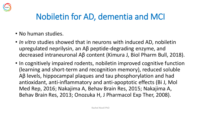

## Nobiletin for AD, dementia and MCI

- No human studies.
- *In vitro* studies showed that in neurons with induced AD, nobiletin upregulated neprilysin, an Aβ peptide-degrading enzyme, and decreased intraneuronal Aβ content (Kimura J, Biol Pharm Bull, 2018).
- In cognitively impaired rodents, nobiletin improved cognitive function (learning and short-term and recognition memory), reduced soluble Aβ levels, hippocampal plaques and tau phosphorylation and had antioxidant, anti-inflammatory and anti-apoptotic effects (Bi J, Mol Med Rep, 2016; Nakajima A, Behav Brain Res, 2015; Nakajima A, Behav Brain Res, 2013; Onozuka H, J Pharmacol Exp Ther, 2008).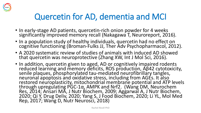

## Quercetin for AD, dementia and MCI

- In early-stage AD patients, quercetin-rich onion powder for 4 weeks significantly improved memory recall (Nakagawa T, Neuroreport, 2016).
- In a population study of healthy individuals, quercetin had no effect on cognitive functioning (Broman-Fulks JJ, Ther Adv Psychopharmacol, 2012).
- A 2020 systematic review of studies of animals with induced AD showed that quercetin was neuroprotective (Zhang XW, Int J Mol Sci, 2016).
- In addition, quercetin given to aged, AD or cognitively impaired rodents reduced learning and memory deficits, ROS production, Aβ42 cytotoxicity, senile plaques, phosphorylated tau-mediated neurofibrillary tangles, neuronal apoptosis and oxidative stress, including from AGEs. It also restored neuroplasticity, mitochondrial membrane potential and ATP levels through upregulating PGC-1α, AMPK and Nrf2. (Wang DM, Neurochem Res, 2014; Ansari MA, J Nutr Biochem, 2009; Aggarwal A, J Nutr Biochem, 2020; Qi Y, Drug Deliv, 2020; Yang S, J Food Biochem, 2020; Li YL, Mol Med Rep, 2017; Wang D, Nutr Neurosci, 2018)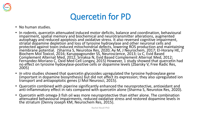

#### Quercetin for PD

- No human studies.
- In rodents, quercetin attenuated induced motor deficits, balance and coordination, behavioural impairment, spatial memory and biochemical and neurotransmitter alterations, augmented autophagy and reduced apoptosis and oxidative stress. It also reversed cognitive impairment, striatal dopamine depletion and loss of tyrosine hydroxylase and other neuronal cells and protected against toxin-induced mitochondrial defects, lowering ROS production and maintaining membrane potential. (Sharma S, Neurotox Res, 2020; Ay M, J Neurochem, 2017; El-Horany HE, J Biochem Mol Toxicol, 2016; Karuppagounder SS, Neuroscience, 2013; Lv C, Evid Based Complement Alternat Med, 2012; Sriraksa N, Evid Based Complement Alternat Med, 2012; Fernandez-Moriano C, Oxid Med Cell Longev, 2015) However, 1 study showed that quercetin had no effect on tyrosine hydoxylase-positive cells or dopamine levels (Zbarsky V, Free Radic Res, 2005)
- In vitro studies showed that quercetin glycosides upregulated the tyrosine hydroxylase gene (important in dopamine biosynthesis) but did not affect its expression; they also upregulated ion transport and antiapoptotic genes (J Mol Neurosci, 2015).
- Quercetin combined with piperine significantly enhanced the neuroprotective, antioxidant and anti-inflammatory effect in rats compared with quercetin alone (Sharma S, Neurotox Res, 2020).
- Quercetin with omega-3 fish oil was more neuroprotective than either alone. The combination attenuated behavioural impairments, reduced oxidative stress and restored dopamine levels in the striatum (Denny Joseph KM, Neurochem Res, 2015).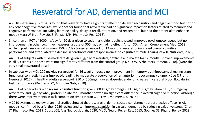# Resveratrol for AD, dementia and MCI

- A 2018 meta-analysis of RCTs found that resveratrol had a significant effect on delayed recognition and negative mood but not on any other cognitive measures, while another found that resveratrol had no significant impact on factors related to memory and cognitive performance, including learning ability, delayed recall, retention, and recognition, but had the potential to enhance mood (Marx W, Nutr Rev, 2018; Farzaei MH, Pharmacol Res, 2018).
- Since then an RCT of 1000mg/day for 90 days given to sedentary, older adults showed improved psychomotor speed but no improvement in other cognitive measures; a dose of 300mg/day had no effect (Anton SD, J Altern Complement Med, 2018), while in postmenopausal women, 150mg/day trans-resveratrol for 12 months resveratrol improved overall cognitive performance and attenuated the decline in cerebrovascular responsiveness to cognitive stimuli (Thaung Zaw JJ, Nutrients, 2020).
- An RCT of subjects with mild-moderate AD given 10g/day resveratrol, dextrose and malate for 12 months showed improvements in all AD scores but these were not significantly different from the control group (Zhu CW, Alzheimers Dement, 2018). [Note the very small resveratrol dose]
- In subjects with MCI, 200 mg/day resveratrol for 26 weeks induced no improvement in memory but hippocampal resting-state functional connectivity was improved, leading to moderate preservation of left anterior hippocampus volume (Köbe T, Front Neurosci, 2017). In healthy adults resveratrol (250 or 500mg) induced dose-dependent increases in cerebral blood flow during task performance (Kennedy DO, Am J Clin Nutr, 2010).
- An RCT of older adults with normal cognitive function given 3000mg/day omega-3 PUFAs, 10μg/day vitamin D3, 150mg/day resveratrol and 8g/day whey protein isolate for 6 months showed no significant difference in overall cognitive function, although there were improvements in task completion time (Moran C, J Prev Alzheimers Dis, 2018).
- A 2019 systematic review of animal studies showed that resveratrol demonstrated consistent neuroprotective effects in AD models, confirmed by a further 2020 review and can improve cognition in vascular dementia by reducing oxidative stress (Chen JY, Pharmacol Res, 2019; Sousa JCE, Arq Neuropsiquiatr, 2020; Ma X, Neural Regen Res, 2013; Gocmez SS, Physiol Behav, 2019).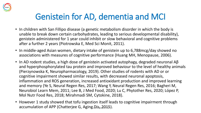

## Genistein for AD, dementia and MCI

- In children with San Fillipo disease (a genetic metabolism disorder in which the body is unable to break down certain carbohydrates, leading to serious developmental disability), genistein administered for 1 year could inhibit or slow behavioral and cognitive problems after a further 2 years (Piotrowska E, Med Sci Monit, 2011).
- In middle-aged Asian women, dietary intake of genistein up to 6,788mcg/day showed no associations with measures of cognitive performance (Huang MH, Menopause, 2006).
- In AD rodent studies, a high dose of genistein activated autophagy, degraded neuronal Aβ and hyperphosphorylated tau protein and improved behaviour to the level of healthy animals (Pierzynowska K, Neuropharmacology, 2019). Other studies of rodents with AD or or cognitive impairment showed similar results, with decreased neuronal apoptosis, inflammation and ROS generation, increased antioxidant production and improved learning and memory (Ye S, Neural Regen Res, 2017; Wang Y, Neural Regen Res, 2016; Bagheri M, Neurobiol Learn Mem, 2011; Lee B, J Med Food, 2020; Lu C, Phytother Res, 2020; López P, Mol Nutr Food Res, 2018; Mirahmadi SM, Cytokine, 2018).
- However 1 study showed that tofu ingestion itself leads to cognitive impairment through accumulation of APP (Chatterjee G, Aging Dis, 2015).